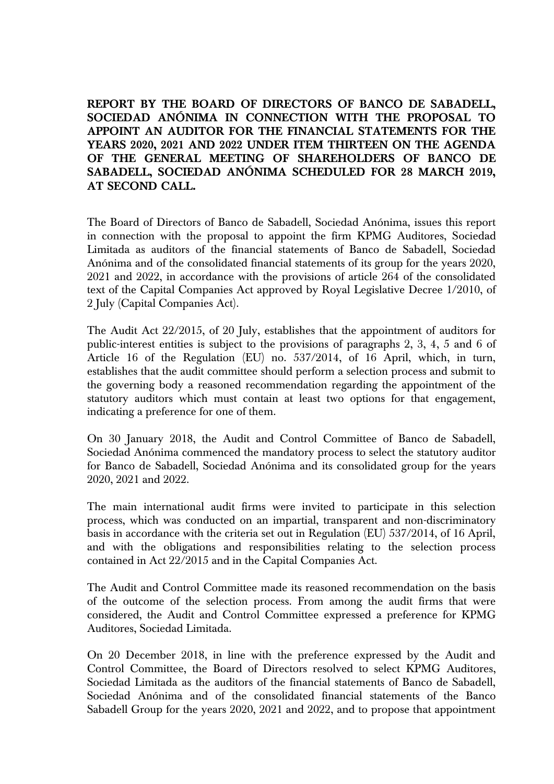**REPORT BY THE BOARD OF DIRECTORS OF BANCO DE SABADELL, SOCIEDAD ANÓNIMA IN CONNECTION WITH THE PROPOSAL TO APPOINT AN AUDITOR FOR THE FINANCIAL STATEMENTS FOR THE YEARS 2020, 2021 AND 2022 UNDER ITEM THIRTEEN ON THE AGENDA OF THE GENERAL MEETING OF SHAREHOLDERS OF BANCO DE SABADELL, SOCIEDAD ANÓNIMA SCHEDULED FOR 28 MARCH 2019, AT SECOND CALL.**

The Board of Directors of Banco de Sabadell, Sociedad Anónima, issues this report in connection with the proposal to appoint the firm KPMG Auditores, Sociedad Limitada as auditors of the financial statements of Banco de Sabadell, Sociedad Anónima and of the consolidated financial statements of its group for the years 2020, 2021 and 2022, in accordance with the provisions of article 264 of the consolidated text of the Capital Companies Act approved by Royal Legislative Decree 1/2010, of 2 July (Capital Companies Act).

The Audit Act 22/2015, of 20 July, establishes that the appointment of auditors for public-interest entities is subject to the provisions of paragraphs 2, 3, 4, 5 and 6 of Article 16 of the Regulation (EU) no. 537/2014, of 16 April, which, in turn, establishes that the audit committee should perform a selection process and submit to the governing body a reasoned recommendation regarding the appointment of the statutory auditors which must contain at least two options for that engagement, indicating a preference for one of them.

On 30 January 2018, the Audit and Control Committee of Banco de Sabadell, Sociedad Anónima commenced the mandatory process to select the statutory auditor for Banco de Sabadell, Sociedad Anónima and its consolidated group for the years 2020, 2021 and 2022.

The main international audit firms were invited to participate in this selection process, which was conducted on an impartial, transparent and non-discriminatory basis in accordance with the criteria set out in Regulation (EU) 537/2014, of 16 April, and with the obligations and responsibilities relating to the selection process contained in Act 22/2015 and in the Capital Companies Act.

The Audit and Control Committee made its reasoned recommendation on the basis of the outcome of the selection process. From among the audit firms that were considered, the Audit and Control Committee expressed a preference for KPMG Auditores, Sociedad Limitada.

On 20 December 2018, in line with the preference expressed by the Audit and Control Committee, the Board of Directors resolved to select KPMG Auditores, Sociedad Limitada as the auditors of the financial statements of Banco de Sabadell, Sociedad Anónima and of the consolidated financial statements of the Banco Sabadell Group for the years 2020, 2021 and 2022, and to propose that appointment